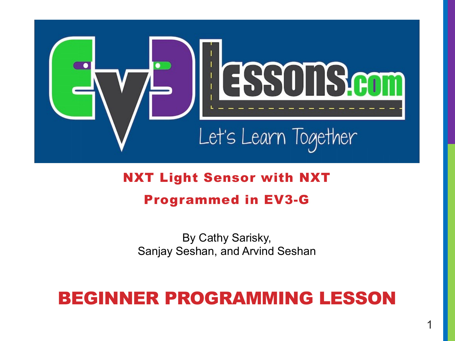

#### NXT Light Sensor with NXT Programmed in EV3-G

By Cathy Sarisky, Sanjay Seshan, and Arvind Seshan

#### BEGINNER PROGRAMMING LESSON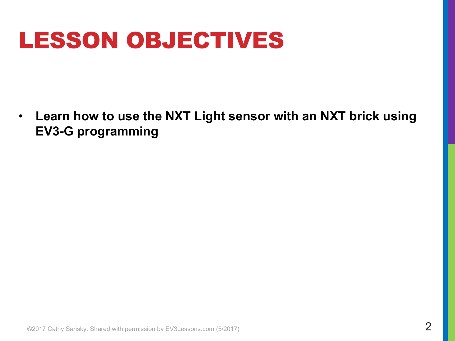## LESSON OBJECTIVES

• **Learn how to use the NXT Light sensor with an NXT brick using EV3-G programming**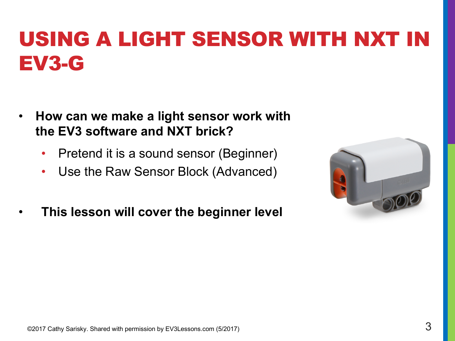### USING A LIGHT SENSOR WITH NXT IN EV3-G

- **How can we make a light sensor work with the EV3 software and NXT brick?** 
	- Pretend it is a sound sensor (Beginner)
	- Use the Raw Sensor Block (Advanced)
- **This lesson will cover the beginner level**

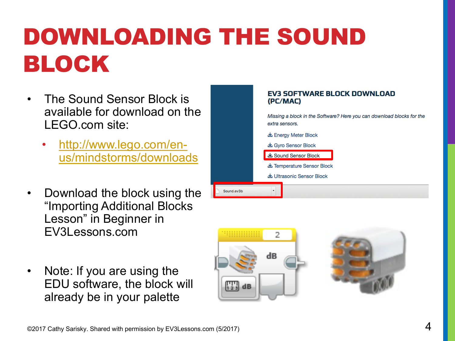# DOWNLOADING THE SOUND BLOCK

- The Sound Sensor Block is available for download on the LEGO.com site:
	- http://www.lego.com/enus/mindstorms/downloads
- Download the block using the "Importing Additional Blocks Lesson" in Beginner in EV3Lessons.com
- Note: If you are using the EDU software, the block will already be in your palette





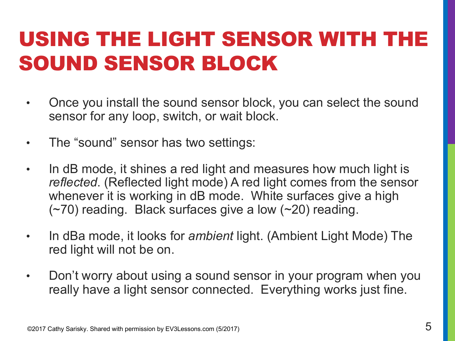#### USING THE LIGHT SENSOR WITH THE SOUND SENSOR BLOCK

- Once you install the sound sensor block, you can select the sound sensor for any loop, switch, or wait block.
- The "sound" sensor has two settings:
- In dB mode, it shines a red light and measures how much light is *reflected*. (Reflected light mode) A red light comes from the sensor whenever it is working in dB mode. White surfaces give a high (~70) reading. Black surfaces give a low (~20) reading.
- In dBa mode, it looks for *ambient* light. (Ambient Light Mode) The red light will not be on.
- Don't worry about using a sound sensor in your program when you really have a light sensor connected. Everything works just fine.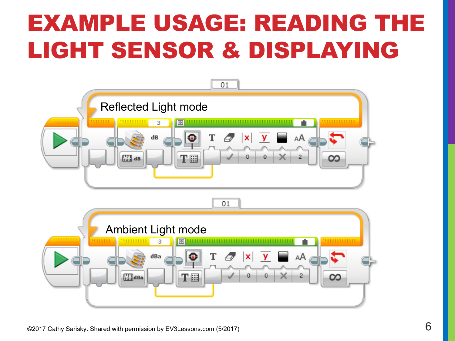## EXAMPLE USAGE: READING THE LIGHT SENSOR & DISPLAYING

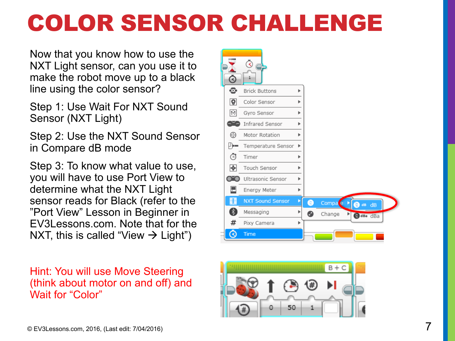## COLOR SENSOR CHALLENGE

Now that you know how to use the NXT Light sensor, can you use it to make the robot move up to a black line using the color sensor?

Step 1: Use Wait For NXT Sound Sensor (NXT Light)

Step 2: Use the NXT Sound Sensor in Compare dB mode

Step 3: To know what value to use, you will have to use Port View to determine what the NXT Light sensor reads for Black (refer to the "Port View" Lesson in Beginner in EV3Lessons.com. Note that for the NXT, this is called "View  $\rightarrow$  Light")

Hint: You will use Move Steering (think about motor on and off) and Wait for "Color"



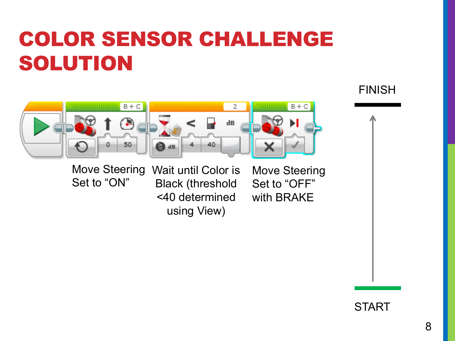### COLOR SENSOR CHALLENGE SOLUTION



Set to "ON"

Move Steering Wait until Color is Black (threshold <40 determined using View)

Move Steering Set to "OFF" with BRAKE

FINISH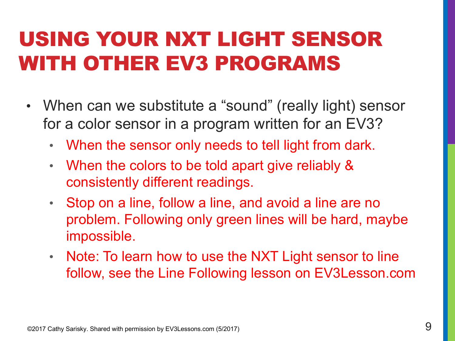### USING YOUR NXT LIGHT SENSOR WITH OTHER EV3 PROGRAMS

- When can we substitute a "sound" (really light) sensor for a color sensor in a program written for an EV3?
	- When the sensor only needs to tell light from dark.
	- When the colors to be told apart give reliably & consistently different readings.
	- Stop on a line, follow a line, and avoid a line are no problem. Following only green lines will be hard, maybe impossible.
	- Note: To learn how to use the NXT Light sensor to line follow, see the Line Following lesson on EV3Lesson.com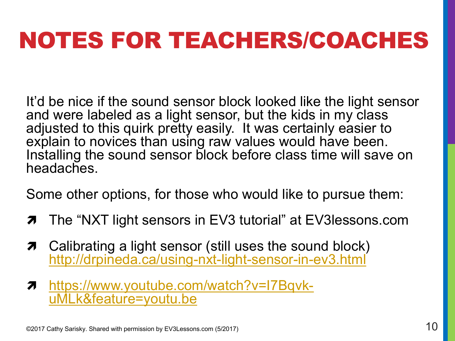## NOTES FOR TEACHERS/COACHES

It'd be nice if the sound sensor block looked like the light sensor and were labeled as a light sensor, but the kids in my class adjusted to this quirk pretty easily. It was certainly easier to explain to novices than using raw values would have been. Installing the sound sensor block before class time will save on headaches.

Some other options, for those who would like to pursue them:

- $\pi$  The "NXT light sensors in EV3 tutorial" at EV3lessons.com
- $\pi$  Calibrating a light sensor (still uses the sound block) http://drpineda.ca/using-nxt-light-sensor-in-ev3.html
- <sup>ì</sup> https://www.youtube.com/watch?v=I7Bqvk- uMLk&feature=youtu.be